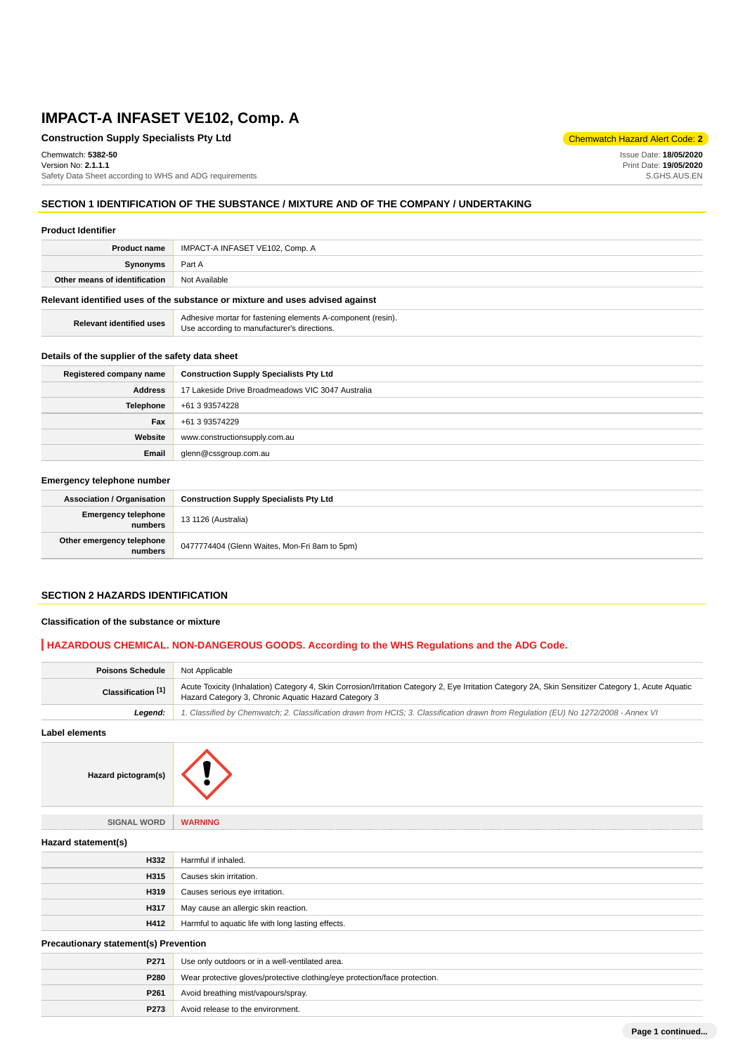### **Construction Supply Specialists Pty Ltd** Chemwatch Hazard Alert Code: **2**

Chemwatch: **5382-50** Version No: **2.1.1.1**

Safety Data Sheet according to WHS and ADG requirements

### **SECTION 1 IDENTIFICATION OF THE SUBSTANCE / MIXTURE AND OF THE COMPANY / UNDERTAKING**

#### **Product Identifier**

| <b>Product name</b>                                                           | IMPACT-A INFASET VE102, Comp. A |  |  |  |  |
|-------------------------------------------------------------------------------|---------------------------------|--|--|--|--|
| Synonyms                                                                      | Part A                          |  |  |  |  |
| Other means of identification                                                 | Not Available                   |  |  |  |  |
| Relevant identified uses of the substance or mixture and uses advised against |                                 |  |  |  |  |

| <b>Relevant identified uses</b> | Adhesive mortar for fastening elements A-component (resin).<br>Use according to manufacturer's directions. |
|---------------------------------|------------------------------------------------------------------------------------------------------------|
|                                 |                                                                                                            |

### **Details of the supplier of the safety data sheet**

| Registered company name | <b>Construction Supply Specialists Pty Ltd</b>    |
|-------------------------|---------------------------------------------------|
| <b>Address</b>          | 17 Lakeside Drive Broadmeadows VIC 3047 Australia |
| Telephone               | +61 3 93574228                                    |
| Fax                     | +61 3 93574229                                    |
| Website                 | www.constructionsupply.com.au                     |
| Email                   | glenn@cssgroup.com.au                             |

#### **Emergency telephone number**

| <b>Association / Organisation</b>            | <b>Construction Supply Specialists Pty Ltd</b> |  |  |
|----------------------------------------------|------------------------------------------------|--|--|
| <b>Emergency telephone</b><br><b>numbers</b> | 13 1126 (Australia)                            |  |  |
| Other emergency telephone<br>numbers         | 0477774404 (Glenn Waites, Mon-Fri 8am to 5pm)  |  |  |

### **SECTION 2 HAZARDS IDENTIFICATION**

### **Classification of the substance or mixture**

### **HAZARDOUS CHEMICAL. NON-DANGEROUS GOODS. According to the WHS Regulations and the ADG Code.**

| <b>Poisons Schedule</b>       | Not Applicable                                                                                                                                                                                              |
|-------------------------------|-------------------------------------------------------------------------------------------------------------------------------------------------------------------------------------------------------------|
| Classification <sup>[1]</sup> | Acute Toxicity (Inhalation) Category 4, Skin Corrosion/Irritation Category 2, Eye Irritation Category 2A, Skin Sensitizer Category 1, Acute Aquatic<br>Hazard Category 3, Chronic Aquatic Hazard Category 3 |
| Leaend:                       | 1. Classified by Chemwatch; 2. Classification drawn from HCIS; 3. Classification drawn from Requlation (EU) No 1272/2008 - Annex VI                                                                         |

**Label elements**





**P273** Avoid release to the environment.

**SIGNAL WORD WARNING Hazard statement(s) H332** Harmful if inhaled. **H315** Causes skin irritation. **H319** Causes serious eye irritation. **H317** May cause an allergic skin reaction. **H412** Harmful to aquatic life with long lasting effects. **Precautionary statement(s) Prevention P271** Use only outdoors or in a well-ventilated area. **P280** Wear protective gloves/protective clothing/eye protection/face protection. **P261** Avoid breathing mist/vapours/spray.

Issue Date: **18/05/2020** Print Date: **19/05/2020** S.GHS.AUS.EN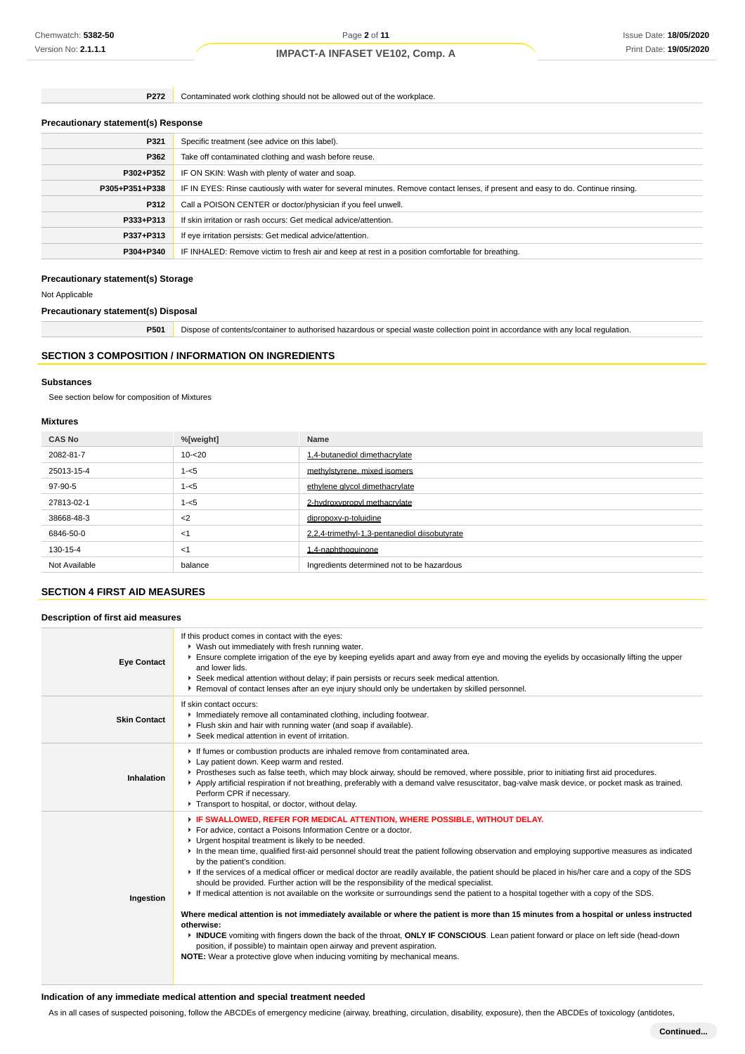**P272** Contaminated work clothing should not be allowed out of the workplace.

### **Precautionary statement(s) Response**

| Specific treatment (see advice on this label).                                                                                   |
|----------------------------------------------------------------------------------------------------------------------------------|
| Take off contaminated clothing and wash before reuse.                                                                            |
| IF ON SKIN: Wash with plenty of water and soap.                                                                                  |
| IF IN EYES: Rinse cautiously with water for several minutes. Remove contact lenses, if present and easy to do. Continue rinsing. |
| Call a POISON CENTER or doctor/physician if you feel unwell.                                                                     |
| If skin irritation or rash occurs: Get medical advice/attention.                                                                 |
| If eye irritation persists: Get medical advice/attention.                                                                        |
| IF INHALED: Remove victim to fresh air and keep at rest in a position comfortable for breathing.                                 |
|                                                                                                                                  |

## **Precautionary statement(s) Storage**

Not Applicable

**Precautionary statement(s) Disposal**

**P501** Dispose of contents/container to authorised hazardous or special waste collection point in accordance with any local regulation.

### **SECTION 3 COMPOSITION / INFORMATION ON INGREDIENTS**

#### **Substances**

See section below for composition of Mixtures

### **Mixtures**

| <b>CAS No</b> | %[weight] | Name                                          |  |  |  |  |
|---------------|-----------|-----------------------------------------------|--|--|--|--|
| 2082-81-7     | $10 - 20$ | 1,4-butanediol dimethacrylate                 |  |  |  |  |
| 25013-15-4    | $1 - 5$   | methylstyrene, mixed isomers                  |  |  |  |  |
| 97-90-5       | $1 - 5$   | ethylene givcol dimethacrylate                |  |  |  |  |
| 27813-02-1    | $1 - 5$   | 2-hydroxypropyl methacrylate                  |  |  |  |  |
| 38668-48-3    | $<$ 2     | dipropoxy-p-toluidine                         |  |  |  |  |
| 6846-50-0     | $<$ 1     | 2.2.4-trimethyl-1.3-pentanediol diisobutvrate |  |  |  |  |
| 130-15-4      | $<$ 1     | 1.4-naphthoguinone                            |  |  |  |  |
| Not Available | balance   | Ingredients determined not to be hazardous    |  |  |  |  |

### **SECTION 4 FIRST AID MEASURES**

#### **Description of first aid measures**

| <b>Eye Contact</b>  | If this product comes in contact with the eyes:<br>▶ Wash out immediately with fresh running water.<br>Ensure complete irrigation of the eye by keeping eyelids apart and away from eye and moving the eyelids by occasionally lifting the upper<br>and lower lids.<br>▶ Seek medical attention without delay; if pain persists or recurs seek medical attention.<br>► Removal of contact lenses after an eye injury should only be undertaken by skilled personnel.                                                                                                                                                                                                                                                                                                                                                                                                                                                                                                                                                                                                                                                                                                                                                              |
|---------------------|-----------------------------------------------------------------------------------------------------------------------------------------------------------------------------------------------------------------------------------------------------------------------------------------------------------------------------------------------------------------------------------------------------------------------------------------------------------------------------------------------------------------------------------------------------------------------------------------------------------------------------------------------------------------------------------------------------------------------------------------------------------------------------------------------------------------------------------------------------------------------------------------------------------------------------------------------------------------------------------------------------------------------------------------------------------------------------------------------------------------------------------------------------------------------------------------------------------------------------------|
| <b>Skin Contact</b> | If skin contact occurs:<br>Inmediately remove all contaminated clothing, including footwear.<br>Flush skin and hair with running water (and soap if available).<br>Seek medical attention in event of irritation.                                                                                                                                                                                                                                                                                                                                                                                                                                                                                                                                                                                                                                                                                                                                                                                                                                                                                                                                                                                                                 |
| Inhalation          | If fumes or combustion products are inhaled remove from contaminated area.<br>Lay patient down. Keep warm and rested.<br>▶ Prostheses such as false teeth, which may block airway, should be removed, where possible, prior to initiating first aid procedures.<br>▶ Apply artificial respiration if not breathing, preferably with a demand valve resuscitator, bag-valve mask device, or pocket mask as trained.<br>Perform CPR if necessary.<br>Transport to hospital, or doctor, without delay.                                                                                                                                                                                                                                                                                                                                                                                                                                                                                                                                                                                                                                                                                                                               |
| Ingestion           | F IF SWALLOWED, REFER FOR MEDICAL ATTENTION, WHERE POSSIBLE, WITHOUT DELAY.<br>For advice, contact a Poisons Information Centre or a doctor.<br>• Urgent hospital treatment is likely to be needed.<br>In the mean time, qualified first-aid personnel should treat the patient following observation and employing supportive measures as indicated<br>by the patient's condition.<br>If the services of a medical officer or medical doctor are readily available, the patient should be placed in his/her care and a copy of the SDS<br>should be provided. Further action will be the responsibility of the medical specialist.<br>If medical attention is not available on the worksite or surroundings send the patient to a hospital together with a copy of the SDS.<br>Where medical attention is not immediately available or where the patient is more than 15 minutes from a hospital or unless instructed<br>otherwise:<br>INDUCE vomiting with fingers down the back of the throat, ONLY IF CONSCIOUS. Lean patient forward or place on left side (head-down<br>position, if possible) to maintain open airway and prevent aspiration.<br>NOTE: Wear a protective glove when inducing vomiting by mechanical means. |

### **Indication of any immediate medical attention and special treatment needed**

As in all cases of suspected poisoning, follow the ABCDEs of emergency medicine (airway, breathing, circulation, disability, exposure), then the ABCDEs of toxicology (antidotes,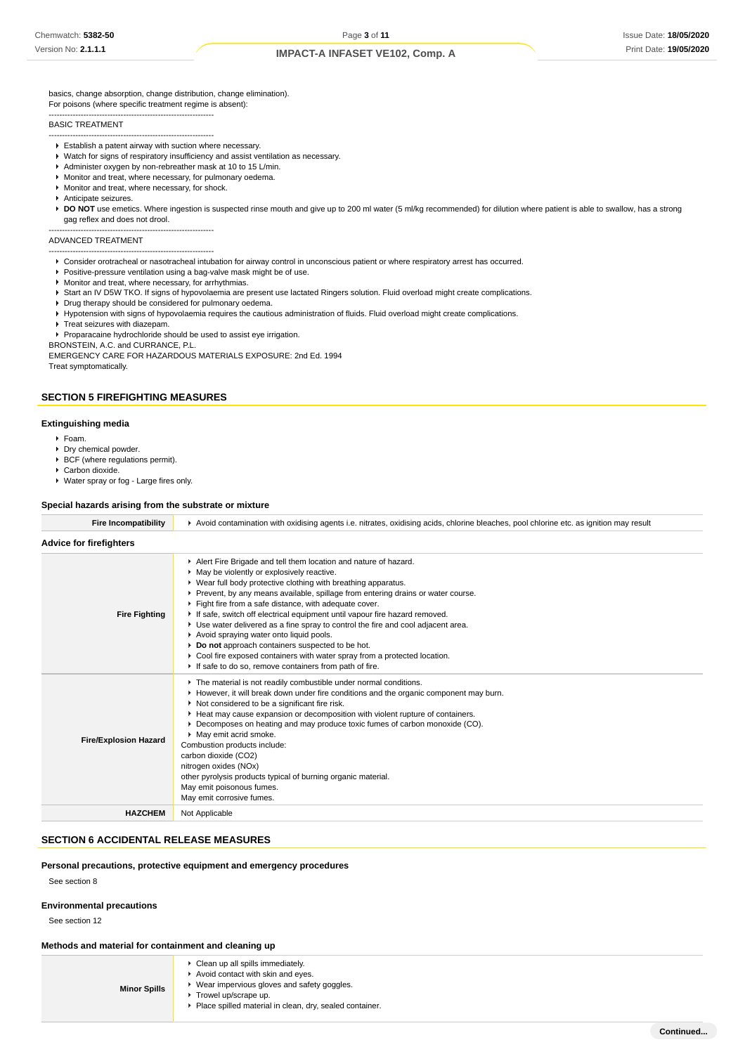basics, change absorption, change distribution, change elimination). For poisons (where specific treatment regime is absent):

#### BASIC TREATMENT

-------------------------------------------------------------- Establish a patent airway with suction where necessary.

--------------------------------------------------------------

- Watch for signs of respiratory insufficiency and assist ventilation as necessary.
- Administer oxygen by non-rebreather mask at 10 to 15 L/min.
- Monitor and treat, where necessary, for pulmonary oedema.
- **Monitor and treat, where necessary, for shock.**
- Anticipate seizures.

▶ DO NOT use emetics. Where ingestion is suspected rinse mouth and give up to 200 ml water (5 ml/kg recommended) for dilution where patient is able to swallow, has a strong gag reflex and does not drool.

-------------------------------------------------------------- ADVANCED TREATMENT

- --------------------------------------------------------------
- Consider orotracheal or nasotracheal intubation for airway control in unconscious patient or where respiratory arrest has occurred.
- **Positive-pressure ventilation using a bag-valve mask might be of use**
- Monitor and treat, where necessary, for arrhythmias.
- ▶ Start an IV D5W TKO. If signs of hypovolaemia are present use lactated Ringers solution. Fluid overload might create complications. Drug therapy should be considered for pulmonary oedema.
- Hypotension with signs of hypovolaemia requires the cautious administration of fluids. Fluid overload might create complications.
- $\blacktriangleright$  Treat seizures with diazepam.

Proparacaine hydrochloride should be used to assist eye irrigation.

BRONSTEIN, A.C. and CURRANCE, P.L.

EMERGENCY CARE FOR HAZARDOUS MATERIALS EXPOSURE: 2nd Ed. 1994 Treat symptomatically.

### **SECTION 5 FIREFIGHTING MEASURES**

### **Extinguishing media**

- Foam.
- Dry chemical powder.
- $\blacktriangleright$  BCF (where regulations permit).
- ▶ Carbon dioxide.
- Water spray or fog Large fires only.

### **Special hazards arising from the substrate or mixture**

| <b>Fire Incompatibility</b>    | Avoid contamination with oxidising agents i.e. nitrates, oxidising acids, chlorine bleaches, pool chlorine etc. as ignition may result                                                                                                                                                                                                                                                                                                                                                                                                                                                                                                                                                                                                |  |  |  |  |  |  |
|--------------------------------|---------------------------------------------------------------------------------------------------------------------------------------------------------------------------------------------------------------------------------------------------------------------------------------------------------------------------------------------------------------------------------------------------------------------------------------------------------------------------------------------------------------------------------------------------------------------------------------------------------------------------------------------------------------------------------------------------------------------------------------|--|--|--|--|--|--|
| <b>Advice for firefighters</b> |                                                                                                                                                                                                                                                                                                                                                                                                                                                                                                                                                                                                                                                                                                                                       |  |  |  |  |  |  |
| <b>Fire Fighting</b>           | Alert Fire Brigade and tell them location and nature of hazard.<br>• May be violently or explosively reactive.<br>▶ Wear full body protective clothing with breathing apparatus.<br>▶ Prevent, by any means available, spillage from entering drains or water course.<br>Fight fire from a safe distance, with adequate cover.<br>If safe, switch off electrical equipment until vapour fire hazard removed.<br>► Use water delivered as a fine spray to control the fire and cool adjacent area.<br>Avoid spraying water onto liquid pools.<br>Do not approach containers suspected to be hot.<br>Cool fire exposed containers with water spray from a protected location.<br>If safe to do so, remove containers from path of fire. |  |  |  |  |  |  |
| <b>Fire/Explosion Hazard</b>   | The material is not readily combustible under normal conditions.<br>► However, it will break down under fire conditions and the organic component may burn.<br>Not considered to be a significant fire risk.<br>► Heat may cause expansion or decomposition with violent rupture of containers.<br>▶ Decomposes on heating and may produce toxic fumes of carbon monoxide (CO).<br>• May emit acrid smoke.<br>Combustion products include:<br>carbon dioxide (CO2)<br>nitrogen oxides (NOx)<br>other pyrolysis products typical of burning organic material.<br>May emit poisonous fumes.<br>May emit corrosive fumes.                                                                                                                |  |  |  |  |  |  |
| <b>HAZCHEM</b>                 | Not Applicable                                                                                                                                                                                                                                                                                                                                                                                                                                                                                                                                                                                                                                                                                                                        |  |  |  |  |  |  |

### **SECTION 6 ACCIDENTAL RELEASE MEASURES**

#### **Personal precautions, protective equipment and emergency procedures**

See section 8

#### **Environmental precautions**

See section 12

#### **Methods and material for containment and cleaning up**

| <b>Minor Spills</b> | • Clean up all spills immediately.<br>Avoid contact with skin and eyes.<br>▶ Wear impervious gloves and safety goggles.<br>▶ Trowel up/scrape up.<br>▶ Place spilled material in clean, dry, sealed container. |
|---------------------|----------------------------------------------------------------------------------------------------------------------------------------------------------------------------------------------------------------|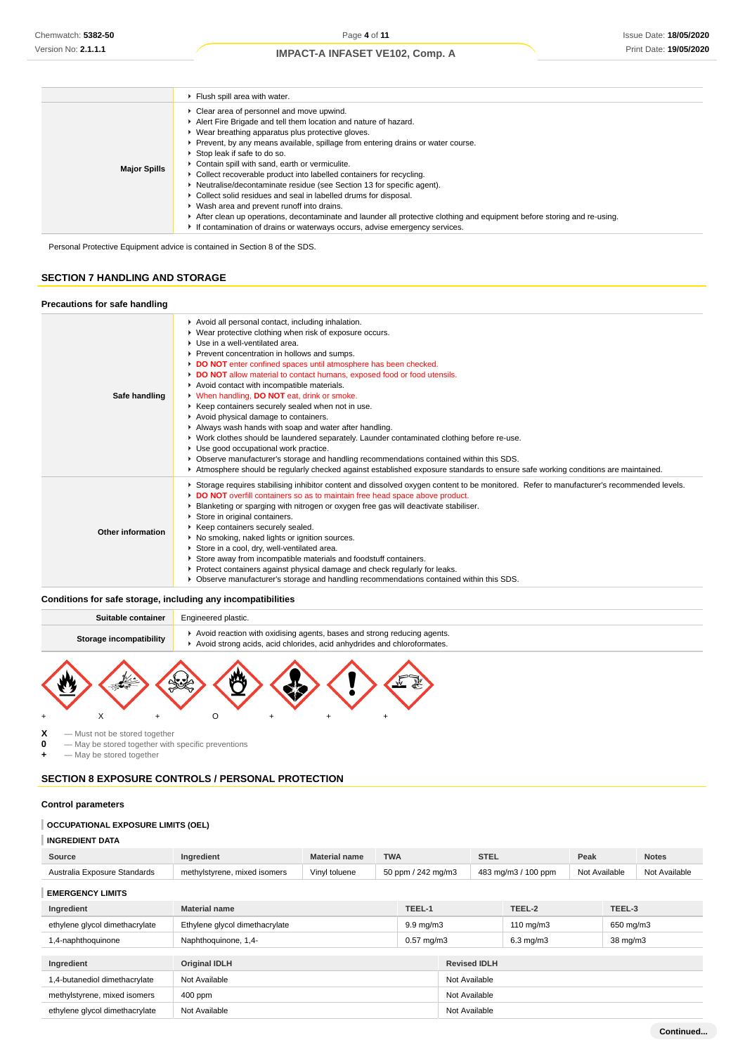|                     | Fiush spill area with water.                                                                                                                                                                                                                                                                                                                                                                                                                                                                                                                                                                                                                                                                                                                                                                                               |
|---------------------|----------------------------------------------------------------------------------------------------------------------------------------------------------------------------------------------------------------------------------------------------------------------------------------------------------------------------------------------------------------------------------------------------------------------------------------------------------------------------------------------------------------------------------------------------------------------------------------------------------------------------------------------------------------------------------------------------------------------------------------------------------------------------------------------------------------------------|
| <b>Major Spills</b> | • Clear area of personnel and move upwind.<br>Alert Fire Brigade and tell them location and nature of hazard.<br>▶ Wear breathing apparatus plus protective gloves.<br>► Prevent, by any means available, spillage from entering drains or water course.<br>Stop leak if safe to do so.<br>Contain spill with sand, earth or vermiculite.<br>Collect recoverable product into labelled containers for recycling.<br>▶ Neutralise/decontaminate residue (see Section 13 for specific agent).<br>• Collect solid residues and seal in labelled drums for disposal.<br>▶ Wash area and prevent runoff into drains.<br>▶ After clean up operations, decontaminate and launder all protective clothing and equipment before storing and re-using.<br>If contamination of drains or waterways occurs, advise emergency services. |

Personal Protective Equipment advice is contained in Section 8 of the SDS.

#### **SECTION 7 HANDLING AND STORAGE**

#### **Precautions for safe handling Safe handling** Avoid all personal contact, including inhalation. Wear protective clothing when risk of exposure occurs. Use in a well-ventilated area. Prevent concentration in hollows and sumps. **DO NOT** enter confined spaces until atmosphere has been checked. **DO NOT** allow material to contact humans, exposed food or food utensils. Avoid contact with incompatible materials. When handling, **DO NOT** eat, drink or smoke.  $\blacktriangleright$  Keep containers securely sealed when not in use. Avoid physical damage to containers. Always wash hands with soap and water after handling. Work clothes should be laundered separately. Launder contaminated clothing before re-use. Use good occupational work practice. Observe manufacturer's storage and handling recommendations contained within this SDS. Atmosphere should be regularly checked against established exposure standards to ensure safe working conditions are maintained. **Other information** ▶ Storage requires stabilising inhibitor content and dissolved oxygen content to be monitored. Refer to manufacturer's recommended levels. **DO NOT** overfill containers so as to maintain free head space above product. Blanketing or sparging with nitrogen or oxygen free gas will deactivate stabiliser. Store in original containers. Keep containers securely sealed. No smoking, naked lights or ignition sources. Store in a cool, dry, well-ventilated area. Store away from incompatible materials and foodstuff containers. Protect containers against physical damage and check regularly for leaks. Observe manufacturer's storage and handling recommendations contained within this SDS.

### **Conditions for safe storage, including any incompatibilities**



 $X -$ Must not be stored together<br>  $0 -$ May be stored together with

**0** — May be stored together with specific preventions

 $-$  May be stored together

### **SECTION 8 EXPOSURE CONTROLS / PERSONAL PROTECTION**

### **Control parameters**

### **OCCUPATIONAL EXPOSURE LIMITS (OEL)**

**INGREDIENT DATA**

| Source                         | Ingredient                     | <b>Material name</b> | <b>TWA</b>         |                    |               | <b>STEL</b>         |        | Peak          |  | <b>Notes</b>  |
|--------------------------------|--------------------------------|----------------------|--------------------|--------------------|---------------|---------------------|--------|---------------|--|---------------|
| Australia Exposure Standards   | methylstyrene, mixed isomers   | Vinyl toluene        | 50 ppm / 242 mg/m3 |                    |               | 483 mg/m3 / 100 ppm |        | Not Available |  | Not Available |
| <b>EMERGENCY LIMITS</b>        |                                |                      |                    |                    |               |                     |        |               |  |               |
| Ingredient                     | <b>Material name</b>           |                      |                    | TEEL-1             |               | TEEL-2              | TEEL-3 |               |  |               |
| ethylene glycol dimethacrylate | Ethylene glycol dimethacrylate |                      |                    | $9.9 \text{ mg/m}$ |               | $110 \text{ mg/m}$  |        | 650 mg/m3     |  |               |
| 1,4-naphthoquinone             | Naphthoquinone, 1,4-           |                      |                    | $0.57$ mg/m $3$    |               | $6.3$ mg/m $3$      |        | 38 mg/m3      |  |               |
| <b>Revised IDLH</b>            |                                |                      |                    |                    |               |                     |        |               |  |               |
| Ingredient                     | <b>Original IDLH</b>           |                      |                    |                    |               |                     |        |               |  |               |
| 1,4-butanediol dimethacrylate  | Not Available                  |                      |                    |                    | Not Available |                     |        |               |  |               |
| methylstyrene, mixed isomers   | 400 ppm                        |                      |                    |                    | Not Available |                     |        |               |  |               |
| ethylene glycol dimethacrylate | Not Available                  |                      |                    |                    | Not Available |                     |        |               |  |               |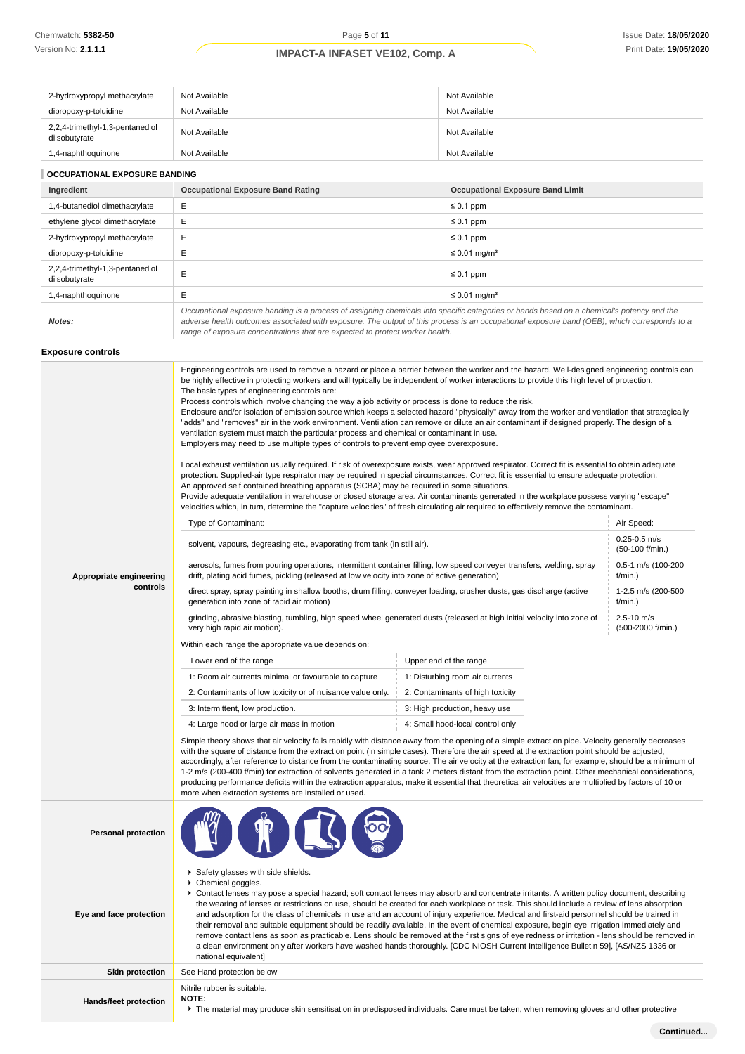| 2-hydroxypropyl methacrylate                     | Not Available                            | Not Available                           |  |  |
|--------------------------------------------------|------------------------------------------|-----------------------------------------|--|--|
| dipropoxy-p-toluidine                            | Not Available                            | Not Available                           |  |  |
| 2,2,4-trimethyl-1,3-pentanediol<br>diisobutyrate | Not Available                            | Not Available                           |  |  |
| 1,4-naphthoquinone                               | Not Available                            | Not Available                           |  |  |
| <b>OCCUPATIONAL EXPOSURE BANDING</b>             |                                          |                                         |  |  |
|                                                  |                                          |                                         |  |  |
| Ingredient                                       | <b>Occupational Exposure Band Rating</b> | <b>Occupational Exposure Band Limit</b> |  |  |
| 1,4-butanediol dimethacrylate                    | E                                        | $\leq 0.1$ ppm                          |  |  |
| ethylene glycol dimethacrylate                   | E                                        | $\leq 0.1$ ppm                          |  |  |
| 2-hydroxypropyl methacrylate                     | E                                        | $\leq 0.1$ ppm                          |  |  |

| 2-hydroxypropyl methacrylate                     |                                                                                                                                                                                                                                                                                                                                                                          | $\leq 0.1$ ppm                |
|--------------------------------------------------|--------------------------------------------------------------------------------------------------------------------------------------------------------------------------------------------------------------------------------------------------------------------------------------------------------------------------------------------------------------------------|-------------------------------|
| dipropoxy-p-toluidine                            |                                                                                                                                                                                                                                                                                                                                                                          | $\leq$ 0.01 mg/m <sup>3</sup> |
| 2,2,4-trimethyl-1,3-pentanediol<br>diisobutyrate |                                                                                                                                                                                                                                                                                                                                                                          | $\leq 0.1$ ppm                |
| 1,4-naphthoquinone                               |                                                                                                                                                                                                                                                                                                                                                                          | $\leq$ 0.01 mg/m <sup>3</sup> |
| Notes:                                           | Occupational exposure banding is a process of assigning chemicals into specific categories or bands based on a chemical's potency and the<br>adverse health outcomes associated with exposure. The output of this process is an occupational exposure band (OEB), which corresponds to a<br>range of exposure concentrations that are expected to protect worker health. |                               |

#### **Exposure controls**

|                              | Engineering controls are used to remove a hazard or place a barrier between the worker and the hazard. Well-designed engineering controls can<br>be highly effective in protecting workers and will typically be independent of worker interactions to provide this high level of protection.<br>The basic types of engineering controls are:<br>Process controls which involve changing the way a job activity or process is done to reduce the risk.<br>Enclosure and/or isolation of emission source which keeps a selected hazard "physically" away from the worker and ventilation that strategically<br>"adds" and "removes" air in the work environment. Ventilation can remove or dilute an air contaminant if designed properly. The design of a<br>ventilation system must match the particular process and chemical or contaminant in use.<br>Employers may need to use multiple types of controls to prevent employee overexposure.<br>Local exhaust ventilation usually required. If risk of overexposure exists, wear approved respirator. Correct fit is essential to obtain adequate<br>protection. Supplied-air type respirator may be required in special circumstances. Correct fit is essential to ensure adequate protection.<br>An approved self contained breathing apparatus (SCBA) may be required in some situations.<br>Provide adequate ventilation in warehouse or closed storage area. Air contaminants generated in the workplace possess varying "escape"<br>velocities which, in turn, determine the "capture velocities" of fresh circulating air required to effectively remove the contaminant.<br>Air Speed:<br>Type of Contaminant: |                                  |                                     |  |  |
|------------------------------|---------------------------------------------------------------------------------------------------------------------------------------------------------------------------------------------------------------------------------------------------------------------------------------------------------------------------------------------------------------------------------------------------------------------------------------------------------------------------------------------------------------------------------------------------------------------------------------------------------------------------------------------------------------------------------------------------------------------------------------------------------------------------------------------------------------------------------------------------------------------------------------------------------------------------------------------------------------------------------------------------------------------------------------------------------------------------------------------------------------------------------------------------------------------------------------------------------------------------------------------------------------------------------------------------------------------------------------------------------------------------------------------------------------------------------------------------------------------------------------------------------------------------------------------------------------------------------------------------------------------------------------------------------------------------|----------------------------------|-------------------------------------|--|--|
|                              | solvent, vapours, degreasing etc., evaporating from tank (in still air).                                                                                                                                                                                                                                                                                                                                                                                                                                                                                                                                                                                                                                                                                                                                                                                                                                                                                                                                                                                                                                                                                                                                                                                                                                                                                                                                                                                                                                                                                                                                                                                                  |                                  | $0.25 - 0.5$ m/s<br>(50-100 f/min.) |  |  |
| Appropriate engineering      | aerosols, fumes from pouring operations, intermittent container filling, low speed conveyer transfers, welding, spray<br>drift, plating acid fumes, pickling (released at low velocity into zone of active generation)                                                                                                                                                                                                                                                                                                                                                                                                                                                                                                                                                                                                                                                                                                                                                                                                                                                                                                                                                                                                                                                                                                                                                                                                                                                                                                                                                                                                                                                    |                                  | 0.5-1 m/s (100-200<br>f/min.)       |  |  |
| controls                     | direct spray, spray painting in shallow booths, drum filling, conveyer loading, crusher dusts, gas discharge (active<br>generation into zone of rapid air motion)                                                                                                                                                                                                                                                                                                                                                                                                                                                                                                                                                                                                                                                                                                                                                                                                                                                                                                                                                                                                                                                                                                                                                                                                                                                                                                                                                                                                                                                                                                         |                                  | 1-2.5 m/s (200-500<br>f/min.)       |  |  |
|                              | grinding, abrasive blasting, tumbling, high speed wheel generated dusts (released at high initial velocity into zone of<br>very high rapid air motion).                                                                                                                                                                                                                                                                                                                                                                                                                                                                                                                                                                                                                                                                                                                                                                                                                                                                                                                                                                                                                                                                                                                                                                                                                                                                                                                                                                                                                                                                                                                   |                                  | 2.5-10 m/s<br>(500-2000 f/min.)     |  |  |
|                              | Within each range the appropriate value depends on:                                                                                                                                                                                                                                                                                                                                                                                                                                                                                                                                                                                                                                                                                                                                                                                                                                                                                                                                                                                                                                                                                                                                                                                                                                                                                                                                                                                                                                                                                                                                                                                                                       |                                  |                                     |  |  |
|                              | Lower end of the range                                                                                                                                                                                                                                                                                                                                                                                                                                                                                                                                                                                                                                                                                                                                                                                                                                                                                                                                                                                                                                                                                                                                                                                                                                                                                                                                                                                                                                                                                                                                                                                                                                                    | Upper end of the range           |                                     |  |  |
|                              | 1: Room air currents minimal or favourable to capture                                                                                                                                                                                                                                                                                                                                                                                                                                                                                                                                                                                                                                                                                                                                                                                                                                                                                                                                                                                                                                                                                                                                                                                                                                                                                                                                                                                                                                                                                                                                                                                                                     | 1: Disturbing room air currents  |                                     |  |  |
|                              | 2: Contaminants of low toxicity or of nuisance value only.                                                                                                                                                                                                                                                                                                                                                                                                                                                                                                                                                                                                                                                                                                                                                                                                                                                                                                                                                                                                                                                                                                                                                                                                                                                                                                                                                                                                                                                                                                                                                                                                                | 2: Contaminants of high toxicity |                                     |  |  |
|                              | 3: Intermittent, low production.                                                                                                                                                                                                                                                                                                                                                                                                                                                                                                                                                                                                                                                                                                                                                                                                                                                                                                                                                                                                                                                                                                                                                                                                                                                                                                                                                                                                                                                                                                                                                                                                                                          | 3: High production, heavy use    |                                     |  |  |
|                              | 4: Large hood or large air mass in motion                                                                                                                                                                                                                                                                                                                                                                                                                                                                                                                                                                                                                                                                                                                                                                                                                                                                                                                                                                                                                                                                                                                                                                                                                                                                                                                                                                                                                                                                                                                                                                                                                                 | 4: Small hood-local control only |                                     |  |  |
|                              | Simple theory shows that air velocity falls rapidly with distance away from the opening of a simple extraction pipe. Velocity generally decreases<br>with the square of distance from the extraction point (in simple cases). Therefore the air speed at the extraction point should be adjusted,<br>accordingly, after reference to distance from the contaminating source. The air velocity at the extraction fan, for example, should be a minimum of<br>1-2 m/s (200-400 f/min) for extraction of solvents generated in a tank 2 meters distant from the extraction point. Other mechanical considerations,<br>producing performance deficits within the extraction apparatus, make it essential that theoretical air velocities are multiplied by factors of 10 or<br>more when extraction systems are installed or used.                                                                                                                                                                                                                                                                                                                                                                                                                                                                                                                                                                                                                                                                                                                                                                                                                                            |                                  |                                     |  |  |
| <b>Personal protection</b>   |                                                                                                                                                                                                                                                                                                                                                                                                                                                                                                                                                                                                                                                                                                                                                                                                                                                                                                                                                                                                                                                                                                                                                                                                                                                                                                                                                                                                                                                                                                                                                                                                                                                                           |                                  |                                     |  |  |
| Eye and face protection      | Safety glasses with side shields.<br>Chemical goggles.<br>► Contact lenses may pose a special hazard; soft contact lenses may absorb and concentrate irritants. A written policy document, describing<br>the wearing of lenses or restrictions on use, should be created for each workplace or task. This should include a review of lens absorption<br>and adsorption for the class of chemicals in use and an account of injury experience. Medical and first-aid personnel should be trained in<br>their removal and suitable equipment should be readily available. In the event of chemical exposure, begin eye irrigation immediately and<br>remove contact lens as soon as practicable. Lens should be removed at the first signs of eye redness or irritation - lens should be removed in<br>a clean environment only after workers have washed hands thoroughly. [CDC NIOSH Current Intelligence Bulletin 59], [AS/NZS 1336 or<br>national equivalent]                                                                                                                                                                                                                                                                                                                                                                                                                                                                                                                                                                                                                                                                                                           |                                  |                                     |  |  |
| <b>Skin protection</b>       | See Hand protection below                                                                                                                                                                                                                                                                                                                                                                                                                                                                                                                                                                                                                                                                                                                                                                                                                                                                                                                                                                                                                                                                                                                                                                                                                                                                                                                                                                                                                                                                                                                                                                                                                                                 |                                  |                                     |  |  |
| <b>Hands/feet protection</b> | Nitrile rubber is suitable.<br><b>NOTE:</b>                                                                                                                                                                                                                                                                                                                                                                                                                                                                                                                                                                                                                                                                                                                                                                                                                                                                                                                                                                                                                                                                                                                                                                                                                                                                                                                                                                                                                                                                                                                                                                                                                               |                                  |                                     |  |  |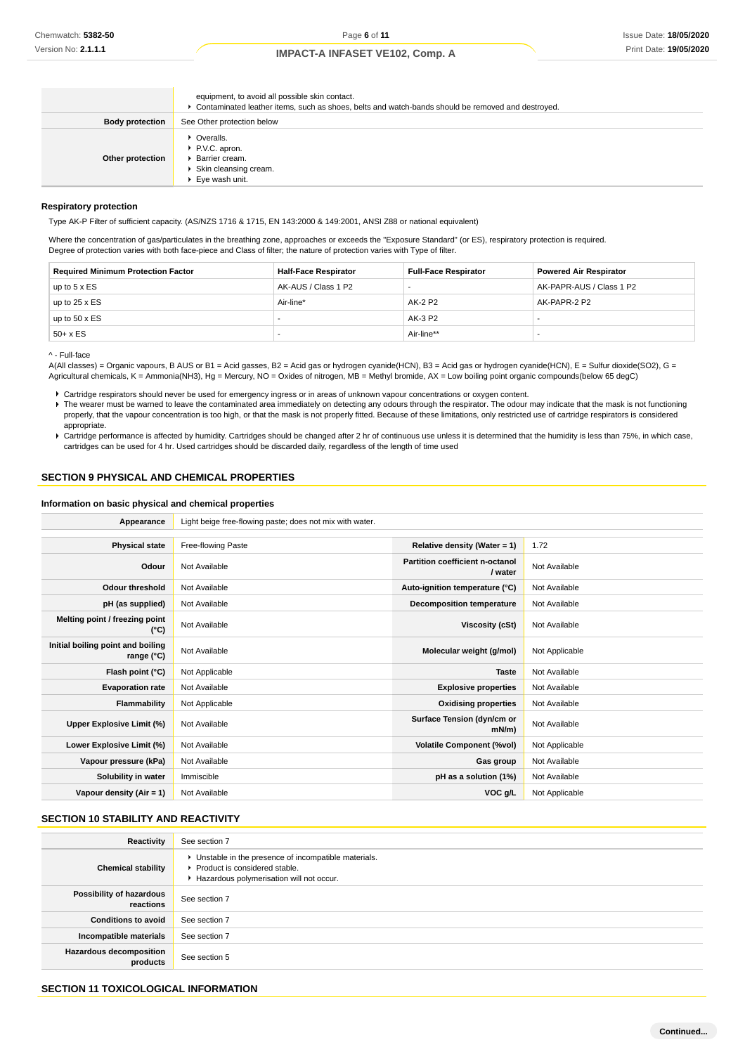|                        | equipment, to avoid all possible skin contact.<br>▶ Contaminated leather items, such as shoes, belts and watch-bands should be removed and destroyed. |
|------------------------|-------------------------------------------------------------------------------------------------------------------------------------------------------|
| <b>Body protection</b> | See Other protection below                                                                                                                            |
| Other protection       | • Overalls.<br>P.V.C. apron.<br>▶ Barrier cream.<br>Skin cleansing cream.<br>▶ Eye wash unit.                                                         |

#### **Respiratory protection**

Type AK-P Filter of sufficient capacity. (AS/NZS 1716 & 1715, EN 143:2000 & 149:2001, ANSI Z88 or national equivalent)

Where the concentration of gas/particulates in the breathing zone, approaches or exceeds the "Exposure Standard" (or ES), respiratory protection is required. Degree of protection varies with both face-piece and Class of filter; the nature of protection varies with Type of filter.

| <b>Required Minimum Protection Factor</b> | <b>Half-Face Respirator</b> | <b>Full-Face Respirator</b> | <b>Powered Air Respirator</b> |
|-------------------------------------------|-----------------------------|-----------------------------|-------------------------------|
| up to $5 \times ES$                       | AK-AUS / Class 1 P2         |                             | AK-PAPR-AUS / Class 1 P2      |
| up to $25 \times ES$                      | Air-line*                   | AK-2 P2                     | AK-PAPR-2 P2                  |
| up to $50 \times ES$                      |                             | AK-3 P2                     |                               |
| $50+ x ES$                                |                             | Air-line**                  |                               |

^ - Full-face

A(All classes) = Organic vapours, B AUS or B1 = Acid gasses, B2 = Acid gas or hydrogen cyanide(HCN), B3 = Acid gas or hydrogen cyanide(HCN), E = Sulfur dioxide(SO2), G = Agricultural chemicals, K = Ammonia(NH3), Hg = Mercury, NO = Oxides of nitrogen, MB = Methyl bromide, AX = Low boiling point organic compounds(below 65 degC)

▶ The wearer must be warned to leave the contaminated area immediately on detecting any odours through the respirator. The odour may indicate that the mask is not functioning properly, that the vapour concentration is too high, or that the mask is not properly fitted. Because of these limitations, only restricted use of cartridge respirators is considered appropriate.

Cartridge performance is affected by humidity. Cartridges should be changed after 2 hr of continuous use unless it is determined that the humidity is less than 75%, in which case, cartridges can be used for 4 hr. Used cartridges should be discarded daily, regardless of the length of time used

### **SECTION 9 PHYSICAL AND CHEMICAL PROPERTIES**

### **Information on basic physical and chemical properties**

**Appearance** Light beige free-flowing paste; does not mix with water.

| <b>Physical state</b>                           | Free-flowing Paste | Relative density (Water = $1$ )            | 1.72           |
|-------------------------------------------------|--------------------|--------------------------------------------|----------------|
| Odour                                           | Not Available      | Partition coefficient n-octanol<br>/ water | Not Available  |
| <b>Odour threshold</b>                          | Not Available      | Auto-ignition temperature (°C)             | Not Available  |
| pH (as supplied)                                | Not Available      | <b>Decomposition temperature</b>           | Not Available  |
| Melting point / freezing point<br>(°C)          | Not Available      | Viscosity (cSt)                            | Not Available  |
| Initial boiling point and boiling<br>range (°C) | Not Available      | Molecular weight (g/mol)                   | Not Applicable |
| Flash point (°C)                                | Not Applicable     | <b>Taste</b>                               | Not Available  |
| <b>Evaporation rate</b>                         | Not Available      | <b>Explosive properties</b>                | Not Available  |
| Flammability                                    | Not Applicable     | <b>Oxidising properties</b>                | Not Available  |
| Upper Explosive Limit (%)                       | Not Available      | Surface Tension (dyn/cm or<br>mN/m         | Not Available  |
| Lower Explosive Limit (%)                       | Not Available      | <b>Volatile Component (%vol)</b>           | Not Applicable |
| Vapour pressure (kPa)                           | Not Available      | Gas group                                  | Not Available  |
| Solubility in water                             | Immiscible         | pH as a solution (1%)                      | Not Available  |
| Vapour density (Air = 1)                        | Not Available      | VOC g/L                                    | Not Applicable |

### **SECTION 10 STABILITY AND REACTIVITY**

| Reactivity                            | See section 7                                                                                                                        |
|---------------------------------------|--------------------------------------------------------------------------------------------------------------------------------------|
| <b>Chemical stability</b>             | • Unstable in the presence of incompatible materials.<br>▶ Product is considered stable.<br>Hazardous polymerisation will not occur. |
| Possibility of hazardous<br>reactions | See section 7                                                                                                                        |
| <b>Conditions to avoid</b>            | See section 7                                                                                                                        |
| Incompatible materials                | See section 7                                                                                                                        |
| Hazardous decomposition<br>products   | See section 5                                                                                                                        |

### **SECTION 11 TOXICOLOGICAL INFORMATION**

Cartridge respirators should never be used for emergency ingress or in areas of unknown vapour concentrations or oxygen content.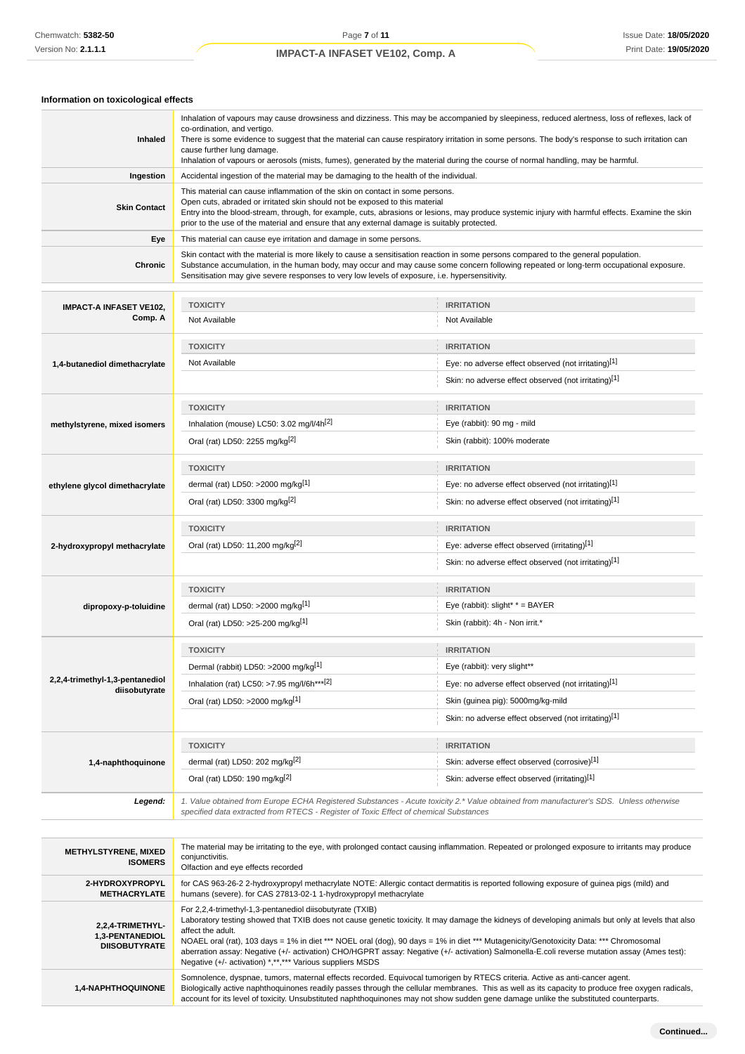| Inhaled                                                     | Inhalation of vapours may cause drowsiness and dizziness. This may be accompanied by sleepiness, reduced alertness, loss of reflexes, lack of<br>co-ordination, and vertigo.<br>There is some evidence to suggest that the material can cause respiratory irritation in some persons. The body's response to such irritation can<br>cause further lung damage.<br>Inhalation of vapours or aerosols (mists, fumes), generated by the material during the course of normal handling, may be harmful. |                                                                                                                                                                                                                                                                                                                                                                                                                                            |  |  |
|-------------------------------------------------------------|-----------------------------------------------------------------------------------------------------------------------------------------------------------------------------------------------------------------------------------------------------------------------------------------------------------------------------------------------------------------------------------------------------------------------------------------------------------------------------------------------------|--------------------------------------------------------------------------------------------------------------------------------------------------------------------------------------------------------------------------------------------------------------------------------------------------------------------------------------------------------------------------------------------------------------------------------------------|--|--|
| Ingestion                                                   | Accidental ingestion of the material may be damaging to the health of the individual.                                                                                                                                                                                                                                                                                                                                                                                                               |                                                                                                                                                                                                                                                                                                                                                                                                                                            |  |  |
| <b>Skin Contact</b>                                         | This material can cause inflammation of the skin on contact in some persons.<br>Open cuts, abraded or irritated skin should not be exposed to this material<br>Entry into the blood-stream, through, for example, cuts, abrasions or lesions, may produce systemic injury with harmful effects. Examine the skin<br>prior to the use of the material and ensure that any external damage is suitably protected.                                                                                     |                                                                                                                                                                                                                                                                                                                                                                                                                                            |  |  |
| Eye                                                         | This material can cause eye irritation and damage in some persons.                                                                                                                                                                                                                                                                                                                                                                                                                                  |                                                                                                                                                                                                                                                                                                                                                                                                                                            |  |  |
| <b>Chronic</b>                                              | Skin contact with the material is more likely to cause a sensitisation reaction in some persons compared to the general population.<br>Substance accumulation, in the human body, may occur and may cause some concern following repeated or long-term occupational exposure.<br>Sensitisation may give severe responses to very low levels of exposure, i.e. hypersensitivity.                                                                                                                     |                                                                                                                                                                                                                                                                                                                                                                                                                                            |  |  |
|                                                             | <b>TOXICITY</b><br><b>IRRITATION</b>                                                                                                                                                                                                                                                                                                                                                                                                                                                                |                                                                                                                                                                                                                                                                                                                                                                                                                                            |  |  |
| <b>IMPACT-A INFASET VE102,</b><br>Comp. A                   | Not Available                                                                                                                                                                                                                                                                                                                                                                                                                                                                                       | Not Available                                                                                                                                                                                                                                                                                                                                                                                                                              |  |  |
|                                                             | <b>TOXICITY</b>                                                                                                                                                                                                                                                                                                                                                                                                                                                                                     | <b>IRRITATION</b>                                                                                                                                                                                                                                                                                                                                                                                                                          |  |  |
| 1,4-butanediol dimethacrylate                               | Not Available                                                                                                                                                                                                                                                                                                                                                                                                                                                                                       | Eye: no adverse effect observed (not irritating)[1]                                                                                                                                                                                                                                                                                                                                                                                        |  |  |
|                                                             |                                                                                                                                                                                                                                                                                                                                                                                                                                                                                                     | Skin: no adverse effect observed (not irritating)[1]                                                                                                                                                                                                                                                                                                                                                                                       |  |  |
|                                                             |                                                                                                                                                                                                                                                                                                                                                                                                                                                                                                     |                                                                                                                                                                                                                                                                                                                                                                                                                                            |  |  |
|                                                             | <b>TOXICITY</b>                                                                                                                                                                                                                                                                                                                                                                                                                                                                                     | <b>IRRITATION</b>                                                                                                                                                                                                                                                                                                                                                                                                                          |  |  |
| methylstyrene, mixed isomers                                | Inhalation (mouse) LC50: 3.02 mg/l/4h[2]                                                                                                                                                                                                                                                                                                                                                                                                                                                            | Eye (rabbit): 90 mg - mild                                                                                                                                                                                                                                                                                                                                                                                                                 |  |  |
|                                                             | Oral (rat) LD50: 2255 mg/kg <sup>[2]</sup>                                                                                                                                                                                                                                                                                                                                                                                                                                                          | Skin (rabbit): 100% moderate                                                                                                                                                                                                                                                                                                                                                                                                               |  |  |
|                                                             | <b>TOXICITY</b>                                                                                                                                                                                                                                                                                                                                                                                                                                                                                     | <b>IRRITATION</b>                                                                                                                                                                                                                                                                                                                                                                                                                          |  |  |
| ethylene glycol dimethacrylate                              | dermal (rat) LD50: >2000 mg/kg <sup>[1]</sup>                                                                                                                                                                                                                                                                                                                                                                                                                                                       | Eye: no adverse effect observed (not irritating)[1]                                                                                                                                                                                                                                                                                                                                                                                        |  |  |
|                                                             | Oral (rat) LD50: 3300 mg/kg <sup>[2]</sup>                                                                                                                                                                                                                                                                                                                                                                                                                                                          | Skin: no adverse effect observed (not irritating)[1]                                                                                                                                                                                                                                                                                                                                                                                       |  |  |
|                                                             | <b>TOXICITY</b>                                                                                                                                                                                                                                                                                                                                                                                                                                                                                     | <b>IRRITATION</b>                                                                                                                                                                                                                                                                                                                                                                                                                          |  |  |
| 2-hydroxypropyl methacrylate                                | Oral (rat) LD50: 11,200 mg/kg <sup>[2]</sup>                                                                                                                                                                                                                                                                                                                                                                                                                                                        | Eye: adverse effect observed (irritating)[1]                                                                                                                                                                                                                                                                                                                                                                                               |  |  |
|                                                             |                                                                                                                                                                                                                                                                                                                                                                                                                                                                                                     | Skin: no adverse effect observed (not irritating)[1]                                                                                                                                                                                                                                                                                                                                                                                       |  |  |
|                                                             |                                                                                                                                                                                                                                                                                                                                                                                                                                                                                                     |                                                                                                                                                                                                                                                                                                                                                                                                                                            |  |  |
|                                                             | <b>TOXICITY</b>                                                                                                                                                                                                                                                                                                                                                                                                                                                                                     | <b>IRRITATION</b><br>Eye (rabbit): $slight^*$ * = BAYER                                                                                                                                                                                                                                                                                                                                                                                    |  |  |
| dipropoxy-p-toluidine                                       | dermal (rat) LD50: >2000 mg/kg <sup>[1]</sup>                                                                                                                                                                                                                                                                                                                                                                                                                                                       |                                                                                                                                                                                                                                                                                                                                                                                                                                            |  |  |
|                                                             | Oral (rat) LD50: >25-200 mg/kg[1]                                                                                                                                                                                                                                                                                                                                                                                                                                                                   | Skin (rabbit): 4h - Non irrit.*                                                                                                                                                                                                                                                                                                                                                                                                            |  |  |
|                                                             | <b>TOXICITY</b>                                                                                                                                                                                                                                                                                                                                                                                                                                                                                     | <b>IRRITATION</b>                                                                                                                                                                                                                                                                                                                                                                                                                          |  |  |
|                                                             | Dermal (rabbit) LD50: >2000 mg/kg[1]                                                                                                                                                                                                                                                                                                                                                                                                                                                                | Eye (rabbit): very slight**                                                                                                                                                                                                                                                                                                                                                                                                                |  |  |
| 2,2,4-trimethyl-1,3-pentanediol<br>diisobutyrate            | Inhalation (rat) LC50: >7.95 mg/l/6h***[2]                                                                                                                                                                                                                                                                                                                                                                                                                                                          | Eye: no adverse effect observed (not irritating)[1]                                                                                                                                                                                                                                                                                                                                                                                        |  |  |
|                                                             | Oral (rat) LD50: >2000 mg/kg[1]                                                                                                                                                                                                                                                                                                                                                                                                                                                                     | Skin (guinea pig): 5000mg/kg-mild                                                                                                                                                                                                                                                                                                                                                                                                          |  |  |
|                                                             |                                                                                                                                                                                                                                                                                                                                                                                                                                                                                                     | Skin: no adverse effect observed (not irritating)[1]                                                                                                                                                                                                                                                                                                                                                                                       |  |  |
|                                                             | <b>TOXICITY</b>                                                                                                                                                                                                                                                                                                                                                                                                                                                                                     | <b>IRRITATION</b>                                                                                                                                                                                                                                                                                                                                                                                                                          |  |  |
| 1,4-naphthoquinone                                          | dermal (rat) LD50: 202 mg/kg <sup>[2]</sup>                                                                                                                                                                                                                                                                                                                                                                                                                                                         | Skin: adverse effect observed (corrosive)[1]                                                                                                                                                                                                                                                                                                                                                                                               |  |  |
|                                                             | Oral (rat) LD50: 190 mg/kg <sup>[2]</sup>                                                                                                                                                                                                                                                                                                                                                                                                                                                           | Skin: adverse effect observed (irritating)[1]                                                                                                                                                                                                                                                                                                                                                                                              |  |  |
| Legend:                                                     | specified data extracted from RTECS - Register of Toxic Effect of chemical Substances                                                                                                                                                                                                                                                                                                                                                                                                               | 1. Value obtained from Europe ECHA Registered Substances - Acute toxicity 2.* Value obtained from manufacturer's SDS. Unless otherwise                                                                                                                                                                                                                                                                                                     |  |  |
|                                                             |                                                                                                                                                                                                                                                                                                                                                                                                                                                                                                     |                                                                                                                                                                                                                                                                                                                                                                                                                                            |  |  |
| <b>METHYLSTYRENE, MIXED</b><br><b>ISOMERS</b>               | conjunctivitis.<br>Olfaction and eye effects recorded                                                                                                                                                                                                                                                                                                                                                                                                                                               | The material may be irritating to the eye, with prolonged contact causing inflammation. Repeated or prolonged exposure to irritants may produce                                                                                                                                                                                                                                                                                            |  |  |
| 2-HYDROXYPROPYL<br><b>METHACRYLATE</b>                      | humans (severe). for CAS 27813-02-1 1-hydroxypropyl methacrylate                                                                                                                                                                                                                                                                                                                                                                                                                                    | for CAS 963-26-2 2-hydroxypropyl methacrylate NOTE: Allergic contact dermatitis is reported following exposure of guinea pigs (mild) and                                                                                                                                                                                                                                                                                                   |  |  |
| 2,2,4-TRIMETHYL-<br>1,3-PENTANEDIOL<br><b>DIISOBUTYRATE</b> | For 2,2,4-trimethyl-1,3-pentanediol diisobutyrate (TXIB)<br>affect the adult.<br>Negative (+/- activation) *,**,*** Various suppliers MSDS                                                                                                                                                                                                                                                                                                                                                          | Laboratory testing showed that TXIB does not cause genetic toxicity. It may damage the kidneys of developing animals but only at levels that also<br>NOAEL oral (rat), 103 days = 1% in diet *** NOEL oral (dog), 90 days = 1% in diet *** Mutagenicity/Genotoxicity Data: *** Chromosomal<br>aberration assay: Negative (+/- activation) CHO/HGPRT assay: Negative (+/- activation) Salmonella-E.coli reverse mutation assay (Ames test): |  |  |
| 1,4-NAPHTHOQUINONE                                          | Somnolence, dyspnae, tumors, maternal effects recorded. Equivocal tumorigen by RTECS criteria. Active as anti-cancer agent.<br>Biologically active naphthoquinones readily passes through the cellular membranes. This as well as its capacity to produce free oxygen radicals,<br>account for its level of toxicity. Unsubstituted naphthoquinones may not show sudden gene damage unlike the substituted counterparts.                                                                            |                                                                                                                                                                                                                                                                                                                                                                                                                                            |  |  |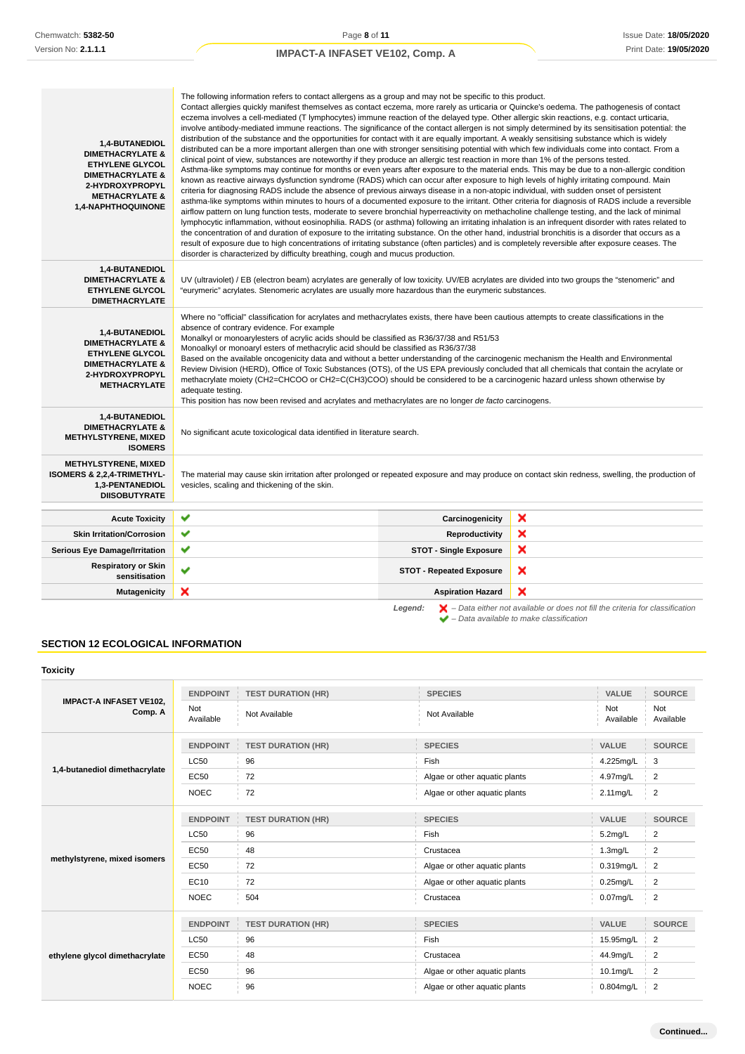| 1,4-BUTANEDIOL<br><b>DIMETHACRYLATE &amp;</b><br><b>ETHYLENE GLYCOL</b><br><b>DIMETHACRYLATE &amp;</b><br>2-HYDROXYPROPYL<br><b>METHACRYLATE &amp;</b><br>1,4-NAPHTHOQUINONE | The following information refers to contact allergens as a group and may not be specific to this product.<br>Contact allergies quickly manifest themselves as contact eczema, more rarely as urticaria or Quincke's oedema. The pathogenesis of contact<br>eczema involves a cell-mediated (T lymphocytes) immune reaction of the delayed type. Other allergic skin reactions, e.g. contact urticaria,<br>involve antibody-mediated immune reactions. The significance of the contact allergen is not simply determined by its sensitisation potential: the<br>distribution of the substance and the opportunities for contact with it are equally important. A weakly sensitising substance which is widely<br>distributed can be a more important allergen than one with stronger sensitising potential with which few individuals come into contact. From a<br>clinical point of view, substances are noteworthy if they produce an allergic test reaction in more than 1% of the persons tested.<br>Asthma-like symptoms may continue for months or even years after exposure to the material ends. This may be due to a non-allergic condition<br>known as reactive airways dysfunction syndrome (RADS) which can occur after exposure to high levels of highly irritating compound. Main<br>criteria for diagnosing RADS include the absence of previous airways disease in a non-atopic individual, with sudden onset of persistent<br>asthma-like symptoms within minutes to hours of a documented exposure to the irritant. Other criteria for diagnosis of RADS include a reversible<br>airflow pattern on lung function tests, moderate to severe bronchial hyperreactivity on methacholine challenge testing, and the lack of minimal<br>lymphocytic inflammation, without eosinophilia. RADS (or asthma) following an irritating inhalation is an infrequent disorder with rates related to<br>the concentration of and duration of exposure to the irritating substance. On the other hand, industrial bronchitis is a disorder that occurs as a<br>result of exposure due to high concentrations of irritating substance (often particles) and is completely reversible after exposure ceases. The<br>disorder is characterized by difficulty breathing, cough and mucus production. |                                 |   |  |
|------------------------------------------------------------------------------------------------------------------------------------------------------------------------------|-----------------------------------------------------------------------------------------------------------------------------------------------------------------------------------------------------------------------------------------------------------------------------------------------------------------------------------------------------------------------------------------------------------------------------------------------------------------------------------------------------------------------------------------------------------------------------------------------------------------------------------------------------------------------------------------------------------------------------------------------------------------------------------------------------------------------------------------------------------------------------------------------------------------------------------------------------------------------------------------------------------------------------------------------------------------------------------------------------------------------------------------------------------------------------------------------------------------------------------------------------------------------------------------------------------------------------------------------------------------------------------------------------------------------------------------------------------------------------------------------------------------------------------------------------------------------------------------------------------------------------------------------------------------------------------------------------------------------------------------------------------------------------------------------------------------------------------------------------------------------------------------------------------------------------------------------------------------------------------------------------------------------------------------------------------------------------------------------------------------------------------------------------------------------------------------------------------------------------------------------------------------------------------------------------|---------------------------------|---|--|
| 1,4-BUTANEDIOL<br><b>DIMETHACRYLATE &amp;</b><br><b>ETHYLENE GLYCOL</b><br><b>DIMETHACRYLATE</b>                                                                             | UV (ultraviolet) / EB (electron beam) acrylates are generally of low toxicity. UV/EB acrylates are divided into two groups the "stenomeric" and<br>eurymeric" acrylates. Stenomeric acrylates are usually more hazardous than the eurymeric substances."                                                                                                                                                                                                                                                                                                                                                                                                                                                                                                                                                                                                                                                                                                                                                                                                                                                                                                                                                                                                                                                                                                                                                                                                                                                                                                                                                                                                                                                                                                                                                                                                                                                                                                                                                                                                                                                                                                                                                                                                                                            |                                 |   |  |
| 1,4-BUTANEDIOL<br><b>DIMETHACRYLATE &amp;</b><br><b>ETHYLENE GLYCOL</b><br><b>DIMETHACRYLATE &amp;</b><br>2-HYDROXYPROPYL<br><b>METHACRYLATE</b>                             | Where no "official" classification for acrylates and methacrylates exists, there have been cautious attempts to create classifications in the<br>absence of contrary evidence. For example<br>Monalkyl or monoarylesters of acrylic acids should be classified as R36/37/38 and R51/53<br>Monoalkyl or monoaryl esters of methacrylic acid should be classified as R36/37/38<br>Based on the available oncogenicity data and without a better understanding of the carcinogenic mechanism the Health and Environmental<br>Review Division (HERD), Office of Toxic Substances (OTS), of the US EPA previously concluded that all chemicals that contain the acrylate or<br>methacrylate moiety (CH2=CHCOO or CH2=C(CH3)COO) should be considered to be a carcinogenic hazard unless shown otherwise by<br>adequate testing.<br>This position has now been revised and acrylates and methacrylates are no longer de facto carcinogens.                                                                                                                                                                                                                                                                                                                                                                                                                                                                                                                                                                                                                                                                                                                                                                                                                                                                                                                                                                                                                                                                                                                                                                                                                                                                                                                                                                |                                 |   |  |
| 1,4-BUTANEDIOL<br><b>DIMETHACRYLATE &amp;</b><br><b>METHYLSTYRENE, MIXED</b><br><b>ISOMERS</b>                                                                               | No significant acute toxicological data identified in literature search.                                                                                                                                                                                                                                                                                                                                                                                                                                                                                                                                                                                                                                                                                                                                                                                                                                                                                                                                                                                                                                                                                                                                                                                                                                                                                                                                                                                                                                                                                                                                                                                                                                                                                                                                                                                                                                                                                                                                                                                                                                                                                                                                                                                                                            |                                 |   |  |
| <b>METHYLSTYRENE, MIXED</b><br>ISOMERS & 2,2,4-TRIMETHYL-<br>1,3-PENTANEDIOL<br><b>DIISOBUTYRATE</b>                                                                         | The material may cause skin irritation after prolonged or repeated exposure and may produce on contact skin redness, swelling, the production of<br>vesicles, scaling and thickening of the skin.                                                                                                                                                                                                                                                                                                                                                                                                                                                                                                                                                                                                                                                                                                                                                                                                                                                                                                                                                                                                                                                                                                                                                                                                                                                                                                                                                                                                                                                                                                                                                                                                                                                                                                                                                                                                                                                                                                                                                                                                                                                                                                   |                                 |   |  |
| <b>Acute Toxicity</b>                                                                                                                                                        | ✔                                                                                                                                                                                                                                                                                                                                                                                                                                                                                                                                                                                                                                                                                                                                                                                                                                                                                                                                                                                                                                                                                                                                                                                                                                                                                                                                                                                                                                                                                                                                                                                                                                                                                                                                                                                                                                                                                                                                                                                                                                                                                                                                                                                                                                                                                                   | Carcinogenicity                 | × |  |
| <b>Skin Irritation/Corrosion</b>                                                                                                                                             | ✔                                                                                                                                                                                                                                                                                                                                                                                                                                                                                                                                                                                                                                                                                                                                                                                                                                                                                                                                                                                                                                                                                                                                                                                                                                                                                                                                                                                                                                                                                                                                                                                                                                                                                                                                                                                                                                                                                                                                                                                                                                                                                                                                                                                                                                                                                                   | Reproductivity                  | × |  |
| <b>Serious Eye Damage/Irritation</b>                                                                                                                                         | ✔                                                                                                                                                                                                                                                                                                                                                                                                                                                                                                                                                                                                                                                                                                                                                                                                                                                                                                                                                                                                                                                                                                                                                                                                                                                                                                                                                                                                                                                                                                                                                                                                                                                                                                                                                                                                                                                                                                                                                                                                                                                                                                                                                                                                                                                                                                   | <b>STOT - Single Exposure</b>   | × |  |
| <b>Respiratory or Skin</b><br>sensitisation                                                                                                                                  | ✔                                                                                                                                                                                                                                                                                                                                                                                                                                                                                                                                                                                                                                                                                                                                                                                                                                                                                                                                                                                                                                                                                                                                                                                                                                                                                                                                                                                                                                                                                                                                                                                                                                                                                                                                                                                                                                                                                                                                                                                                                                                                                                                                                                                                                                                                                                   | <b>STOT - Repeated Exposure</b> | × |  |
| <b>Mutagenicity</b>                                                                                                                                                          | ×                                                                                                                                                                                                                                                                                                                                                                                                                                                                                                                                                                                                                                                                                                                                                                                                                                                                                                                                                                                                                                                                                                                                                                                                                                                                                                                                                                                                                                                                                                                                                                                                                                                                                                                                                                                                                                                                                                                                                                                                                                                                                                                                                                                                                                                                                                   | <b>Aspiration Hazard</b>        | × |  |

**Legend:**  $\mathbf{X}$  – Data either not available or does not fill the criteria for classification – Data available to make classification

### **SECTION 12 ECOLOGICAL INFORMATION**

| <b>Toxicity</b>                           |                  |                           |                               |                  |                  |
|-------------------------------------------|------------------|---------------------------|-------------------------------|------------------|------------------|
| <b>IMPACT-A INFASET VE102.</b><br>Comp. A | <b>ENDPOINT</b>  | <b>TEST DURATION (HR)</b> | <b>SPECIES</b>                | <b>VALUE</b>     | <b>SOURCE</b>    |
|                                           | Not<br>Available | Not Available             | Not Available                 | Not<br>Available | Not<br>Available |
|                                           | <b>ENDPOINT</b>  | <b>TEST DURATION (HR)</b> | <b>SPECIES</b>                | VALUE            | <b>SOURCE</b>    |
|                                           | <b>LC50</b>      | 96                        | Fish                          | 4.225mg/L        | 3                |
| 1,4-butanediol dimethacrylate             | <b>EC50</b>      | 72                        | Algae or other aquatic plants | 4.97mg/L         | $\overline{c}$   |
|                                           | <b>NOEC</b>      | 72                        | Algae or other aquatic plants | 2.11 mg/L        | $\overline{2}$   |
|                                           | <b>ENDPOINT</b>  | <b>TEST DURATION (HR)</b> | <b>SPECIES</b>                | VALUE            | <b>SOURCE</b>    |
|                                           | <b>LC50</b>      | 96                        | Fish                          | $5.2$ mg/L       | $\overline{2}$   |
|                                           | <b>EC50</b>      | 48                        | Crustacea                     | $1.3$ mg/L       | $\overline{c}$   |
| methylstyrene, mixed isomers              | <b>EC50</b>      | 72                        | Algae or other aquatic plants | 0.319mg/L        | $\overline{2}$   |
|                                           | EC10             | 72                        | Algae or other aquatic plants | $0.25$ mg/L      | 2                |
|                                           | <b>NOEC</b>      | 504                       | Crustacea                     | $0.07$ mg/L      | $\overline{2}$   |
|                                           | <b>ENDPOINT</b>  | <b>TEST DURATION (HR)</b> | <b>SPECIES</b>                | <b>VALUE</b>     | <b>SOURCE</b>    |
|                                           | <b>LC50</b>      | 96                        | Fish                          | 15.95mg/L        | $\overline{c}$   |
| ethylene glycol dimethacrylate            | <b>EC50</b>      | 48                        | Crustacea                     | 44.9mg/L         | $\overline{2}$   |
|                                           | <b>EC50</b>      | 96                        | Algae or other aquatic plants | 10.1mg/L         | 2                |
|                                           | <b>NOEC</b>      | 96                        | Algae or other aquatic plants | 0.804mg/L        | $\overline{2}$   |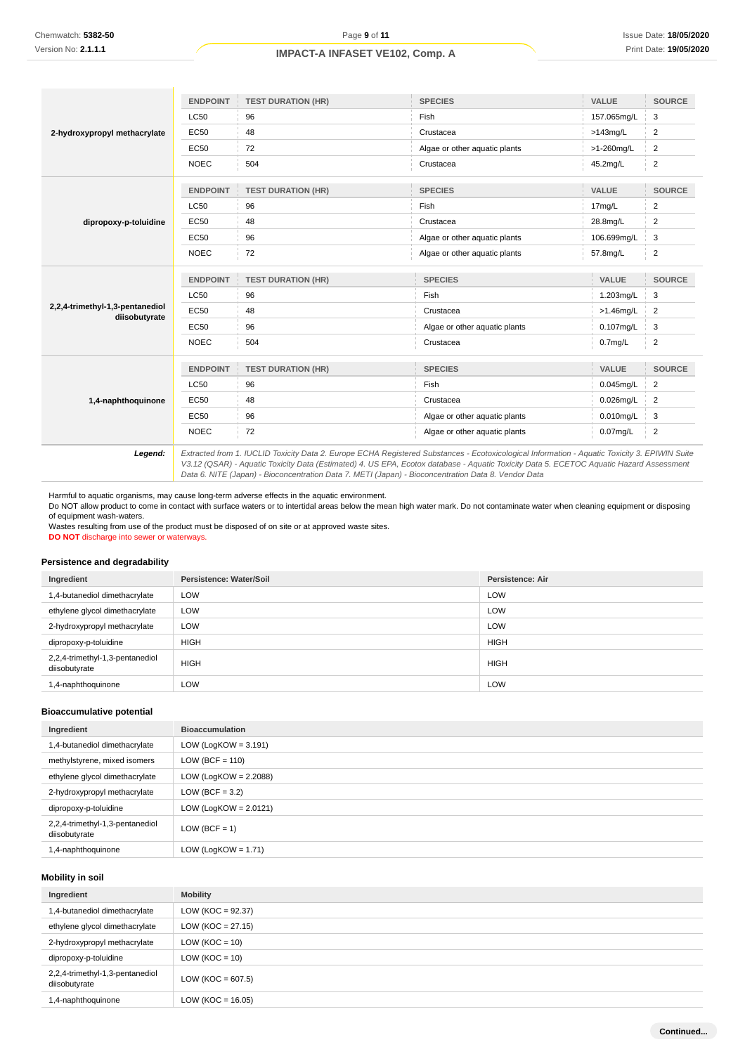|                                                  | <b>ENDPOINT</b>                                                                                                                               | <b>TEST DURATION (HR)</b> | <b>SPECIES</b>                | VALUE               | <b>SOURCE</b>           |
|--------------------------------------------------|-----------------------------------------------------------------------------------------------------------------------------------------------|---------------------------|-------------------------------|---------------------|-------------------------|
| 2-hydroxypropyl methacrylate                     | <b>LC50</b>                                                                                                                                   | 96                        | Fish                          | 157.065mg/L         | 3                       |
|                                                  | EC50                                                                                                                                          | 48                        | Crustacea                     | $>143$ mg/L         | $\overline{2}$          |
|                                                  | EC50                                                                                                                                          | 72                        | Algae or other aquatic plants | >1-260mg/L          | 2                       |
|                                                  | <b>NOEC</b>                                                                                                                                   | 504                       | Crustacea                     | 45.2mg/L            | $\overline{2}$          |
|                                                  | <b>ENDPOINT</b>                                                                                                                               | <b>TEST DURATION (HR)</b> | <b>SPECIES</b>                | <b>VALUE</b>        | <b>SOURCE</b>           |
|                                                  | <b>LC50</b>                                                                                                                                   | 96                        | Fish                          | 17mg/L              | $\overline{\mathbf{c}}$ |
| dipropoxy-p-toluidine                            | EC50                                                                                                                                          | 48                        | Crustacea                     | 28.8mg/L            | 2                       |
|                                                  | EC50                                                                                                                                          | 96                        | Algae or other aquatic plants | 106.699mg/L         | 3                       |
|                                                  | <b>NOEC</b>                                                                                                                                   | 72                        | Algae or other aquatic plants | 57.8mg/L            | $\overline{2}$          |
|                                                  | <b>ENDPOINT</b>                                                                                                                               | <b>TEST DURATION (HR)</b> | <b>SPECIES</b>                | <b>VALUE</b>        | <b>SOURCE</b>           |
|                                                  | <b>LC50</b>                                                                                                                                   | 96                        | Fish                          | 1.203mg/L           | 3                       |
| 2,2,4-trimethyl-1,3-pentanediol<br>diisobutyrate | <b>EC50</b>                                                                                                                                   | 48                        | Crustacea                     | $>1.46$ mg/L        | $\overline{2}$          |
|                                                  | <b>EC50</b>                                                                                                                                   | 96                        | Algae or other aquatic plants | $0.107$ mg/L        | 3                       |
|                                                  | <b>NOEC</b>                                                                                                                                   | 504                       | Crustacea                     | 0.7 <sub>mg/L</sub> | $\overline{2}$          |
|                                                  | <b>ENDPOINT</b>                                                                                                                               | <b>TEST DURATION (HR)</b> | <b>SPECIES</b>                | VALUE               | <b>SOURCE</b>           |
|                                                  | <b>LC50</b>                                                                                                                                   | 96                        | Fish                          | $0.045$ mg/L        | $\overline{2}$          |
| 1,4-naphthoquinone                               | EC50                                                                                                                                          | 48                        | Crustacea                     | $0.026$ mg/L        | $\overline{2}$          |
|                                                  | <b>EC50</b>                                                                                                                                   | 96                        | Algae or other aquatic plants | $0.010$ mg/L        | 3                       |
|                                                  | <b>NOEC</b>                                                                                                                                   | 72                        | Algae or other aquatic plants | $0.07$ mg/L         | $\overline{2}$          |
| Legend:                                          | Extracted from 1. IUCLID Toxicity Data 2. Europe ECHA Registered Substances - Ecotoxicological Information - Aquatic Toxicity 3. EPIWIN Suite |                           |                               |                     |                         |

V3.12 (QSAR) - Aquatic Toxicity Data (Estimated) 4. US EPA, Ecotox database - Aquatic Toxicity Data 5. ECETOC Aquatic Hazard Assessment Data 6. NITE (Japan) - Bioconcentration Data 7. METI (Japan) - Bioconcentration Data 8. Vendor Data

Harmful to aquatic organisms, may cause long-term adverse effects in the aquatic environment. Do NOT allow product to come in contact with surface waters or to intertidal areas below the mean high water mark. Do not contaminate water when cleaning equipment or disposing of equipment wash-waters.

Wastes resulting from use of the product must be disposed of on site or at approved waste sites. **DO NOT** discharge into sewer or waterways.

### **Persistence and degradability**

| Ingredient                                       | <b>Persistence: Water/Soil</b> | <b>Persistence: Air</b> |
|--------------------------------------------------|--------------------------------|-------------------------|
| 1,4-butanediol dimethacrylate                    | LOW                            | LOW                     |
| ethylene glycol dimethacrylate                   | LOW                            | LOW                     |
| 2-hydroxypropyl methacrylate                     | LOW                            | LOW                     |
| dipropoxy-p-toluidine                            | <b>HIGH</b>                    | <b>HIGH</b>             |
| 2,2,4-trimethyl-1,3-pentanediol<br>diisobutyrate | <b>HIGH</b>                    | <b>HIGH</b>             |
| 1,4-naphthoquinone                               | LOW                            | LOW                     |

### **Bioaccumulative potential**

| Ingredient                                       | <b>Bioaccumulation</b>   |
|--------------------------------------------------|--------------------------|
| 1,4-butanediol dimethacrylate                    | LOW (LogKOW = $3.191$ )  |
| methylstyrene, mixed isomers                     | $LOW (BCF = 110)$        |
| ethylene glycol dimethacrylate                   | LOW (LogKOW = $2.2088$ ) |
| 2-hydroxypropyl methacrylate                     | LOW (BCF = $3.2$ )       |
| dipropoxy-p-toluidine                            | LOW (LogKOW = $2.0121$ ) |
| 2,2,4-trimethyl-1,3-pentanediol<br>diisobutyrate | $LOW (BCF = 1)$          |
| 1,4-naphthoquinone                               | LOW (LogKOW = $1.71$ )   |

### **Mobility in soil**

| Ingredient                                       | <b>Mobility</b>       |
|--------------------------------------------------|-----------------------|
| 1,4-butanediol dimethacrylate                    | LOW ( $KOC = 92.37$ ) |
| ethylene glycol dimethacrylate                   | $LOW (KOC = 27.15)$   |
| 2-hydroxypropyl methacrylate                     | LOW ( $KOC = 10$ )    |
| dipropoxy-p-toluidine                            | $LOW (KOC = 10)$      |
| 2,2,4-trimethyl-1,3-pentanediol<br>diisobutyrate | LOW ( $KOC = 607.5$ ) |
| 1,4-naphthoquinone                               | LOW (KOC = $16.05$ )  |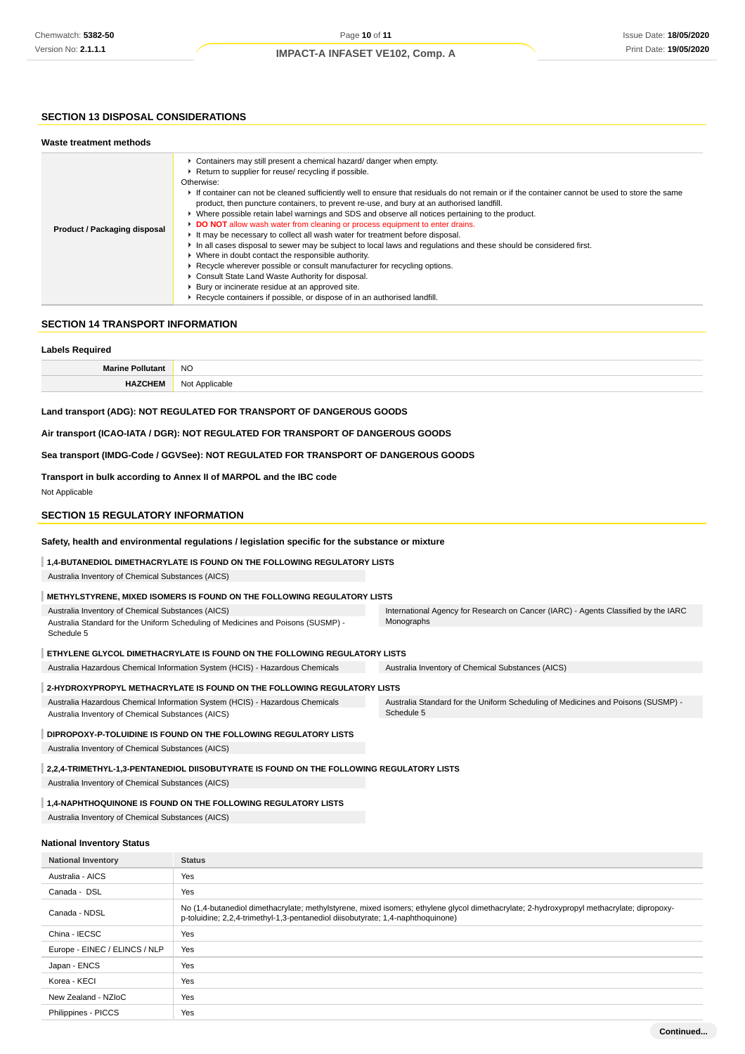# **SECTION 13 DISPOSAL CONSIDERATIONS**

| Waste treatment methods      |                                                                                                                                                                                                                                                                                                                                                                                                                                                                                                                                                                                                                                                                                                                                                                                                                                                                                                                                                                                                                                                                                                             |
|------------------------------|-------------------------------------------------------------------------------------------------------------------------------------------------------------------------------------------------------------------------------------------------------------------------------------------------------------------------------------------------------------------------------------------------------------------------------------------------------------------------------------------------------------------------------------------------------------------------------------------------------------------------------------------------------------------------------------------------------------------------------------------------------------------------------------------------------------------------------------------------------------------------------------------------------------------------------------------------------------------------------------------------------------------------------------------------------------------------------------------------------------|
| Product / Packaging disposal | • Containers may still present a chemical hazard/ danger when empty.<br>Return to supplier for reuse/ recycling if possible.<br>Otherwise:<br>If container can not be cleaned sufficiently well to ensure that residuals do not remain or if the container cannot be used to store the same<br>product, then puncture containers, to prevent re-use, and bury at an authorised landfill.<br>▶ Where possible retain label warnings and SDS and observe all notices pertaining to the product.<br>DO NOT allow wash water from cleaning or process equipment to enter drains.<br>It may be necessary to collect all wash water for treatment before disposal.<br>In all cases disposal to sewer may be subject to local laws and regulations and these should be considered first.<br>• Where in doubt contact the responsible authority.<br>► Recycle wherever possible or consult manufacturer for recycling options.<br>Consult State Land Waste Authority for disposal.<br>Bury or incinerate residue at an approved site.<br>▶ Recycle containers if possible, or dispose of in an authorised landfill. |

# **SECTION 14 TRANSPORT INFORMATION**

| <b>Labels Required</b>                                                                                                                                                                                                                                  |                                                                                                  |                                                                                  |
|---------------------------------------------------------------------------------------------------------------------------------------------------------------------------------------------------------------------------------------------------------|--------------------------------------------------------------------------------------------------|----------------------------------------------------------------------------------|
| <b>Marine Pollutant</b>                                                                                                                                                                                                                                 | <b>NO</b>                                                                                        |                                                                                  |
| <b>HAZCHEM</b>                                                                                                                                                                                                                                          | Not Applicable                                                                                   |                                                                                  |
|                                                                                                                                                                                                                                                         | Land transport (ADG): NOT REGULATED FOR TRANSPORT OF DANGEROUS GOODS                             |                                                                                  |
| Air transport (ICAO-IATA / DGR): NOT REGULATED FOR TRANSPORT OF DANGEROUS GOODS                                                                                                                                                                         |                                                                                                  |                                                                                  |
| Sea transport (IMDG-Code / GGVSee): NOT REGULATED FOR TRANSPORT OF DANGEROUS GOODS                                                                                                                                                                      |                                                                                                  |                                                                                  |
| Not Applicable                                                                                                                                                                                                                                          | Transport in bulk according to Annex II of MARPOL and the IBC code                               |                                                                                  |
| <b>SECTION 15 REGULATORY INFORMATION</b>                                                                                                                                                                                                                |                                                                                                  |                                                                                  |
|                                                                                                                                                                                                                                                         | Safety, health and environmental regulations / legislation specific for the substance or mixture |                                                                                  |
|                                                                                                                                                                                                                                                         | 1,4-BUTANEDIOL DIMETHACRYLATE IS FOUND ON THE FOLLOWING REGULATORY LISTS                         |                                                                                  |
| Australia Inventory of Chemical Substances (AICS)                                                                                                                                                                                                       |                                                                                                  |                                                                                  |
|                                                                                                                                                                                                                                                         | METHYLSTYRENE, MIXED ISOMERS IS FOUND ON THE FOLLOWING REGULATORY LISTS                          |                                                                                  |
| Australia Inventory of Chemical Substances (AICS)<br>International Agency for Research on Cancer (IARC) - Agents Classified by the IARC<br>Monographs<br>Australia Standard for the Uniform Scheduling of Medicines and Poisons (SUSMP) -<br>Schedule 5 |                                                                                                  |                                                                                  |
|                                                                                                                                                                                                                                                         | ETHYLENE GLYCOL DIMETHACRYLATE IS FOUND ON THE FOLLOWING REGULATORY LISTS                        |                                                                                  |
|                                                                                                                                                                                                                                                         | Australia Hazardous Chemical Information System (HCIS) - Hazardous Chemicals                     | Australia Inventory of Chemical Substances (AICS)                                |
|                                                                                                                                                                                                                                                         | 2-HYDROXYPROPYL METHACRYLATE IS FOUND ON THE FOLLOWING REGULATORY LISTS                          |                                                                                  |
| Australia Hazardous Chemical Information System (HCIS) - Hazardous Chemicals<br>Schedule 5<br>Australia Inventory of Chemical Substances (AICS)                                                                                                         |                                                                                                  | Australia Standard for the Uniform Scheduling of Medicines and Poisons (SUSMP) - |
|                                                                                                                                                                                                                                                         | DIPROPOXY-P-TOLUIDINE IS FOUND ON THE FOLLOWING REGULATORY LISTS                                 |                                                                                  |
| Australia Inventory of Chemical Substances (AICS)                                                                                                                                                                                                       |                                                                                                  |                                                                                  |
|                                                                                                                                                                                                                                                         | 2,2,4-TRIMETHYL-1,3-PENTANEDIOL DIISOBUTYRATE IS FOUND ON THE FOLLOWING REGULATORY LISTS         |                                                                                  |
| Australia Inventory of Chemical Substances (AICS)                                                                                                                                                                                                       |                                                                                                  |                                                                                  |
| 1,4-NAPHTHOQUINONE IS FOUND ON THE FOLLOWING REGULATORY LISTS                                                                                                                                                                                           |                                                                                                  |                                                                                  |
| Australia Inventory of Chemical Substances (AICS)                                                                                                                                                                                                       |                                                                                                  |                                                                                  |
| <b>National Inventory Status</b>                                                                                                                                                                                                                        |                                                                                                  |                                                                                  |
| <b>National Inventory</b>                                                                                                                                                                                                                               | <b>Status</b>                                                                                    |                                                                                  |
| Australia - AICS                                                                                                                                                                                                                                        | Yes                                                                                              |                                                                                  |
| Canada - DSL                                                                                                                                                                                                                                            | Yes                                                                                              |                                                                                  |

| Canada - NDSL                 | No (1,4-butanediol dimethacrylate; methylstyrene, mixed isomers; ethylene glycol dimethacrylate; 2-hydroxypropyl methacrylate; dipropoxy-<br>p-toluidine; 2,2,4-trimethyl-1,3-pentanediol diisobutyrate; 1,4-naphthoquinone) |
|-------------------------------|------------------------------------------------------------------------------------------------------------------------------------------------------------------------------------------------------------------------------|
| China - IECSC                 | Yes                                                                                                                                                                                                                          |
| Europe - EINEC / ELINCS / NLP | Yes                                                                                                                                                                                                                          |
| Japan - ENCS                  | Yes                                                                                                                                                                                                                          |
| Korea - KECI                  | Yes                                                                                                                                                                                                                          |
| New Zealand - NZIoC           | Yes                                                                                                                                                                                                                          |
| Philippines - PICCS           | Yes                                                                                                                                                                                                                          |